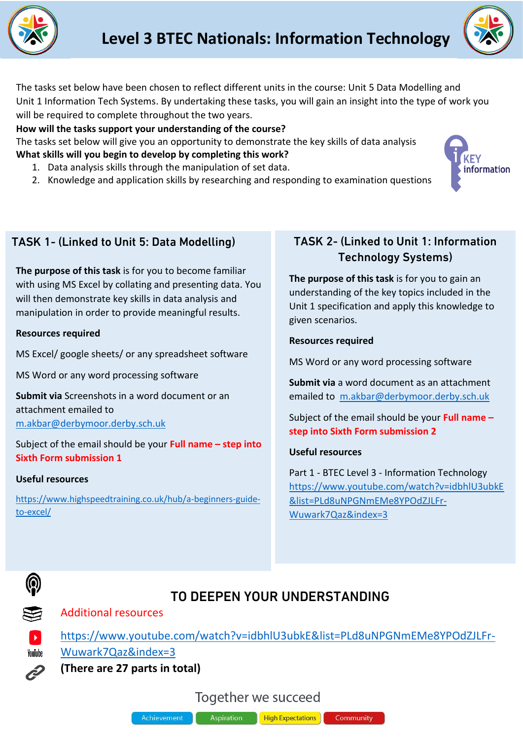



The tasks set below have been chosen to reflect different units in the course: Unit 5 Data Modelling and Unit 1 Information Tech Systems. By undertaking these tasks, you will gain an insight into the type of work you will be required to complete throughout the two years.

### **How will the tasks support your understanding of the course?**

The tasks set below will give you an opportunity to demonstrate the key skills of data analysis **What skills will you begin to develop by completing this work?**

- 1. Data analysis skills through the manipulation of set data.
- 2. Knowledge and application skills by researching and responding to examination questions



## TASK 1- (Linked to Unit 5: Data Modelling)

**The purpose of this task** is for you to become familiar with using MS Excel by collating and presenting data. You will then demonstrate key skills in data analysis and manipulation in order to provide meaningful results.

#### **Resources required**

MS Excel/ google sheets/ or any spreadsheet software

MS Word or any word processing software

**Submit via** Screenshots in a word document or an attachment emailed to [m.akbar@derbymoor.derby.sch.uk](mailto:m.akbar@derbymoor.derby.sch.uk)

Subject of the email should be your **Full name – step into Sixth Form submission 1**

#### **Useful resources**

[https://www.highspeedtraining.co.uk/hub/a-beginners-guide](https://www.highspeedtraining.co.uk/hub/a-beginners-guide-to-excel/)[to-excel/](https://www.highspeedtraining.co.uk/hub/a-beginners-guide-to-excel/)

## TASK 2- (Linked to Unit 1: Information Technology Systems)

**The purpose of this task** is for you to gain an understanding of the key topics included in the Unit 1 specification and apply this knowledge to given scenarios.

#### **Resources required**

MS Word or any word processing software

**Submit via** a word document as an attachment emailed to [m.akbar@derbymoor.derby.sch.uk](mailto:m.akbar@derbymoor.derby.sch.uk)

Subject of the email should be your **Full name – step into Sixth Form submission 2**

## **Useful resources**

Part 1 - BTEC Level 3 - Information Technology [https://www.youtube.com/watch?v=idbhlU3ubkE](https://www.youtube.com/watch?v=idbhlU3ubkE&list=PLd8uNPGNmEMe8YPOdZJLFr-Wuwark7Qaz&index=3) [&list=PLd8uNPGNmEMe8YPOdZJLFr-](https://www.youtube.com/watch?v=idbhlU3ubkE&list=PLd8uNPGNmEMe8YPOdZJLFr-Wuwark7Qaz&index=3)[Wuwark7Qaz&index=3](https://www.youtube.com/watch?v=idbhlU3ubkE&list=PLd8uNPGNmEMe8YPOdZJLFr-Wuwark7Qaz&index=3)



# TO DEEPEN YOUR UNDERSTANDING

Additional resources



YouTube

[https://www.youtube.com/watch?v=idbhlU3ubkE&list=PLd8uNPGNmEMe8YPOdZJLFr-](https://www.youtube.com/watch?v=idbhlU3ubkE&list=PLd8uNPGNmEMe8YPOdZJLFr-Wuwark7Qaz&index=3)[Wuwark7Qaz&index=3](https://www.youtube.com/watch?v=idbhlU3ubkE&list=PLd8uNPGNmEMe8YPOdZJLFr-Wuwark7Qaz&index=3)

**(There are 27 parts in total)**

Together we succeed



Aspiration **High Expectations**